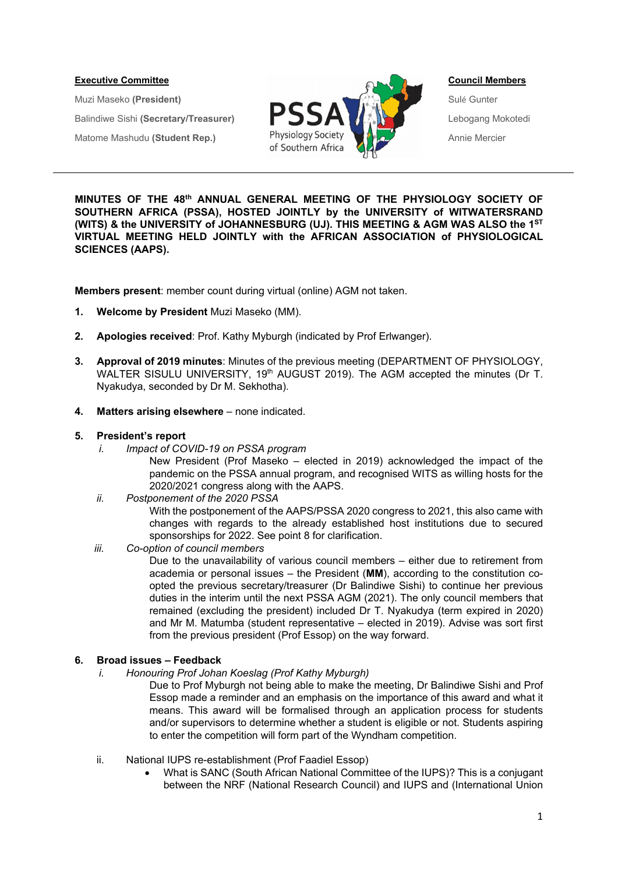

**MINUTES OF THE 48th ANNUAL GENERAL MEETING OF THE PHYSIOLOGY SOCIETY OF SOUTHERN AFRICA (PSSA), HOSTED JOINTLY by the UNIVERSITY of WITWATERSRAND (WITS) & the UNIVERSITY of JOHANNESBURG (UJ). THIS MEETING & AGM WAS ALSO the 1ST VIRTUAL MEETING HELD JOINTLY with the AFRICAN ASSOCIATION of PHYSIOLOGICAL SCIENCES (AAPS).** 

**Members present**: member count during virtual (online) AGM not taken.

- **1. Welcome by President** Muzi Maseko (MM).
- **2. Apologies received**: Prof. Kathy Myburgh (indicated by Prof Erlwanger).
- **3. Approval of 2019 minutes**: Minutes of the previous meeting (DEPARTMENT OF PHYSIOLOGY, WALTER SISULU UNIVERSITY, 19<sup>th</sup> AUGUST 2019). The AGM accepted the minutes (Dr T. Nyakudya, seconded by Dr M. Sekhotha).
- **4. Matters arising elsewhere** none indicated.

#### **5. President's report**

- *i. Impact of COVID-19 on PSSA program* 
	- New President (Prof Maseko elected in 2019) acknowledged the impact of the pandemic on the PSSA annual program, and recognised WITS as willing hosts for the 2020/2021 congress along with the AAPS.

## *ii. Postponement of the 2020 PSSA*

With the postponement of the AAPS/PSSA 2020 congress to 2021, this also came with changes with regards to the already established host institutions due to secured sponsorships for 2022. See point 8 for clarification.

## *iii. Co-option of council members*

Due to the unavailability of various council members – either due to retirement from academia or personal issues – the President (**MM**), according to the constitution coopted the previous secretary/treasurer (Dr Balindiwe Sishi) to continue her previous duties in the interim until the next PSSA AGM (2021). The only council members that remained (excluding the president) included Dr T. Nyakudya (term expired in 2020) and Mr M. Matumba (student representative – elected in 2019). Advise was sort first from the previous president (Prof Essop) on the way forward.

## **6. Broad issues – Feedback**

*i. Honouring Prof Johan Koeslag (Prof Kathy Myburgh)* 

Due to Prof Myburgh not being able to make the meeting, Dr Balindiwe Sishi and Prof Essop made a reminder and an emphasis on the importance of this award and what it means. This award will be formalised through an application process for students and/or supervisors to determine whether a student is eligible or not. Students aspiring to enter the competition will form part of the Wyndham competition.

- ii. National IUPS re-establishment (Prof Faadiel Essop)
	- What is SANC (South African National Committee of the IUPS)? This is a conjugant between the NRF (National Research Council) and IUPS and (International Union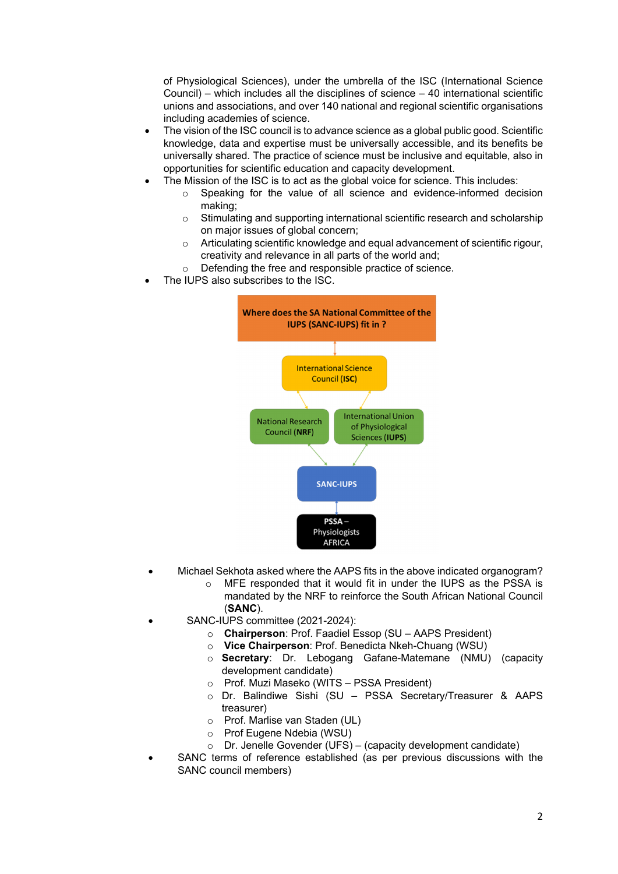of Physiological Sciences), under the umbrella of the ISC (International Science Council) – which includes all the disciplines of science  $-40$  international scientific unions and associations, and over 140 national and regional scientific organisations including academies of science.

- The vision of the ISC council is to advance science as a global public good. Scientific knowledge, data and expertise must be universally accessible, and its benefits be universally shared. The practice of science must be inclusive and equitable, also in opportunities for scientific education and capacity development.
- The Mission of the ISC is to act as the global voice for science. This includes:
	- Speaking for the value of all science and evidence-informed decision making;
	- o Stimulating and supporting international scientific research and scholarship on major issues of global concern;
	- o Articulating scientific knowledge and equal advancement of scientific rigour, creativity and relevance in all parts of the world and;
	- o Defending the free and responsible practice of science.
- The IUPS also subscribes to the ISC.



- Michael Sekhota asked where the AAPS fits in the above indicated organogram?
	- o MFE responded that it would fit in under the IUPS as the PSSA is mandated by the NRF to reinforce the South African National Council (**SANC**).
- SANC-IUPS committee (2021-2024):
	- o **Chairperson**: Prof. Faadiel Essop (SU AAPS President)
	- o **Vice Chairperson**: Prof. Benedicta Nkeh-Chuang (WSU)
	- o **Secretary**: Dr. Lebogang Gafane-Matemane (NMU) (capacity development candidate)
	- o Prof. Muzi Maseko (WITS PSSA President)
	- o Dr. Balindiwe Sishi (SU PSSA Secretary/Treasurer & AAPS treasurer)
	- o Prof. Marlise van Staden (UL)
	- o Prof Eugene Ndebia (WSU)
	- o Dr. Jenelle Govender (UFS) (capacity development candidate)
- SANC terms of reference established (as per previous discussions with the SANC council members)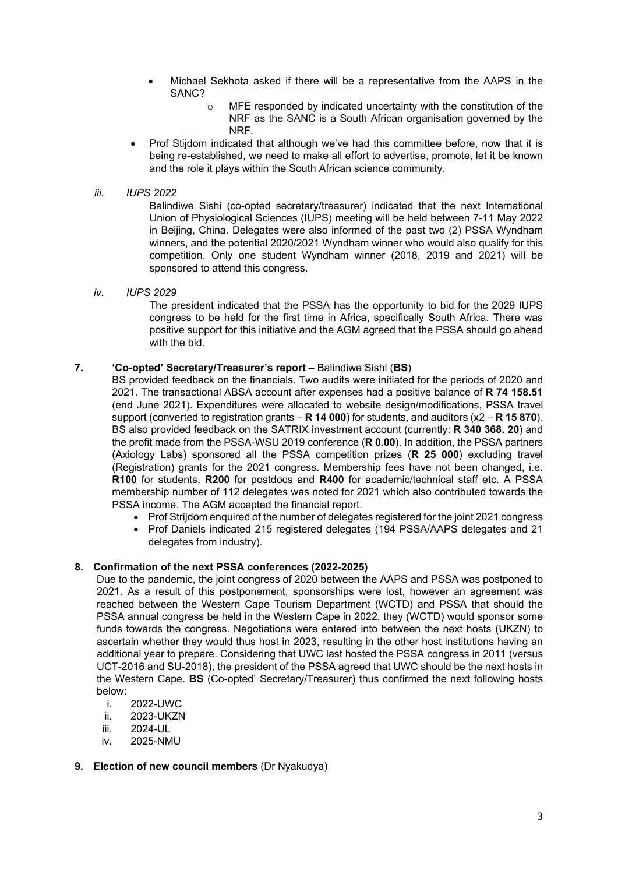- Michael Sekhota asked if there will be a representative from the AAPS in the SANC?
	- o MFE responded by indicated uncertainty with the constitution of the NRF as the SANC is a South African organisation governed by the NRF.
- Prof Stijdom indicated that although we've had this committee before, now that it is being re-established, we need to make all effort to advertise, promote, let it be known and the role it plays within the South African science community.

## *iii. IUPS 2022*

Balindiwe Sishi (co-opted secretary/treasurer) indicated that the next International Union of Physiological Sciences (IUPS) meeting will be held between 7-11 May 2022 in Beijing, China. Delegates were also informed of the past two (2) PSSA Wyndham winners, and the potential 2020/2021 Wyndham winner who would also qualify for this competition. Only one student Wyndham winner (2018, 2019 and 2021) will be sponsored to attend this congress.

## *iv. IUPS 2029*

The president indicated that the PSSA has the opportunity to bid for the 2029 IUPS congress to be held for the first time in Africa, specifically South Africa. There was positive support for this initiative and the AGM agreed that the PSSA should go ahead with the bid.

# **7. 'Co-opted' Secretary/Treasurer's report** – Balindiwe Sishi (**BS**)

BS provided feedback on the financials. Two audits were initiated for the periods of 2020 and 2021. The transactional ABSA account after expenses had a positive balance of **R 74 158.51** (end June 2021). Expenditures were allocated to website design/modifications, PSSA travel support (converted to registration grants – **R 14 000**) for students, and auditors (x2 – **R 15 870**). BS also provided feedback on the SATRIX investment account (currently: **R 340 368. 20**) and the profit made from the PSSA-WSU 2019 conference (**R 0.00**). In addition, the PSSA partners (Axiology Labs) sponsored all the PSSA competition prizes (**R 25 000**) excluding travel (Registration) grants for the 2021 congress. Membership fees have not been changed, i.e. **R100** for students, **R200** for postdocs and **R400** for academic/technical staff etc. A PSSA membership number of 112 delegates was noted for 2021 which also contributed towards the PSSA income. The AGM accepted the financial report.

- Prof Strijdom enquired of the number of delegates registered for the joint 2021 congress
- Prof Daniels indicated 215 registered delegates (194 PSSA/AAPS delegates and 21 delegates from industry).

# **8. Confirmation of the next PSSA conferences (2022-2025)**

Due to the pandemic, the joint congress of 2020 between the AAPS and PSSA was postponed to 2021. As a result of this postponement, sponsorships were lost, however an agreement was reached between the Western Cape Tourism Department (WCTD) and PSSA that should the PSSA annual congress be held in the Western Cape in 2022, they (WCTD) would sponsor some funds towards the congress. Negotiations were entered into between the next hosts (UKZN) to ascertain whether they would thus host in 2023, resulting in the other host institutions having an additional year to prepare. Considering that UWC last hosted the PSSA congress in 2011 (versus UCT-2016 and SU-2018), the president of the PSSA agreed that UWC should be the next hosts in the Western Cape. **BS** (Co-opted' Secretary/Treasurer) thus confirmed the next following hosts below:

- i. 2022-UWC
- ii. 2023-UKZN
- iii. 2024-UL
- iv. 2025-NMU

## **9. Election of new council members** (Dr Nyakudya)